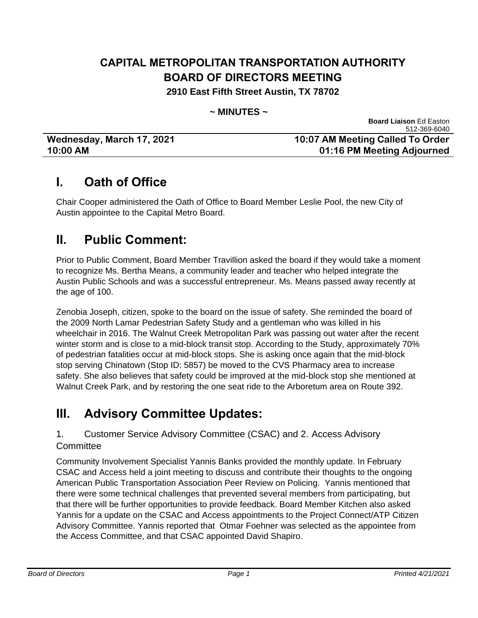## **CAPITAL METROPOLITAN TRANSPORTATION AUTHORITY BOARD OF DIRECTORS MEETING**

**2910 East Fifth Street Austin, TX 78702**

### **~ MINUTES ~**

|                           | 512-369-6040                     |
|---------------------------|----------------------------------|
| Wednesday, March 17, 2021 | 10:07 AM Meeting Called To Order |
| 10:00 AM                  | 01:16 PM Meeting Adjourned       |

## **I. Oath of Office**

Chair Cooper administered the Oath of Office to Board Member Leslie Pool, the new City of Austin appointee to the Capital Metro Board.

## **II. Public Comment:**

Prior to Public Comment, Board Member Travillion asked the board if they would take a moment to recognize Ms. Bertha Means, a community leader and teacher who helped integrate the Austin Public Schools and was a successful entrepreneur. Ms. Means passed away recently at the age of 100.

Zenobia Joseph, citizen, spoke to the board on the issue of safety. She reminded the board of the 2009 North Lamar Pedestrian Safety Study and a gentleman who was killed in his wheelchair in 2016. The Walnut Creek Metropolitan Park was passing out water after the recent winter storm and is close to a mid-block transit stop. According to the Study, approximately 70% of pedestrian fatalities occur at mid-block stops. She is asking once again that the mid-block stop serving Chinatown (Stop ID: 5857) be moved to the CVS Pharmacy area to increase safety. She also believes that safety could be improved at the mid-block stop she mentioned at Walnut Creek Park, and by restoring the one seat ride to the Arboretum area on Route 392.

## **III. Advisory Committee Updates:**

#### 1. Customer Service Advisory Committee (CSAC) and 2. Access Advisory **Committee**

Community Involvement Specialist Yannis Banks provided the monthly update. In February CSAC and Access held a joint meeting to discuss and contribute their thoughts to the ongoing American Public Transportation Association Peer Review on Policing. Yannis mentioned that there were some technical challenges that prevented several members from participating, but that there will be further opportunities to provide feedback. Board Member Kitchen also asked Yannis for a update on the CSAC and Access appointments to the Project Connect/ATP Citizen Advisory Committee. Yannis reported that Otmar Foehner was selected as the appointee from the Access Committee, and that CSAC appointed David Shapiro.

**Board Liaison** Ed Easton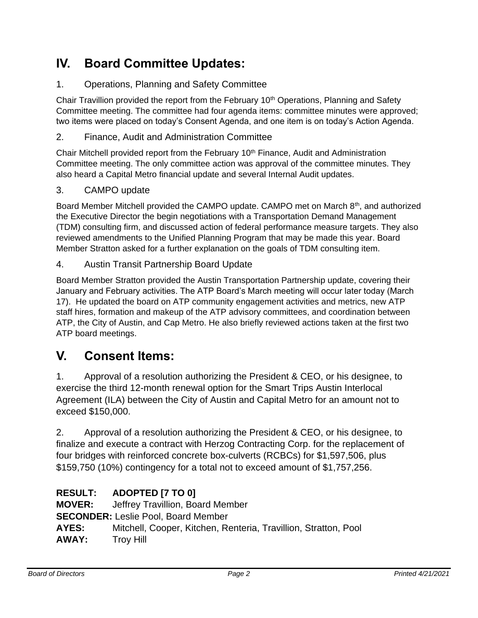# **IV. Board Committee Updates:**

### 1. Operations, Planning and Safety Committee

Chair Travillion provided the report from the February 10<sup>th</sup> Operations, Planning and Safety Committee meeting. The committee had four agenda items: committee minutes were approved; two items were placed on today's Consent Agenda, and one item is on today's Action Agenda.

### 2. Finance, Audit and Administration Committee

Chair Mitchell provided report from the February  $10<sup>th</sup>$  Finance, Audit and Administration Committee meeting. The only committee action was approval of the committee minutes. They also heard a Capital Metro financial update and several Internal Audit updates.

### 3. CAMPO update

Board Member Mitchell provided the CAMPO update. CAMPO met on March 8<sup>th</sup>, and authorized the Executive Director the begin negotiations with a Transportation Demand Management (TDM) consulting firm, and discussed action of federal performance measure targets. They also reviewed amendments to the Unified Planning Program that may be made this year. Board Member Stratton asked for a further explanation on the goals of TDM consulting item.

### 4. Austin Transit Partnership Board Update

Board Member Stratton provided the Austin Transportation Partnership update, covering their January and February activities. The ATP Board's March meeting will occur later today (March 17). He updated the board on ATP community engagement activities and metrics, new ATP staff hires, formation and makeup of the ATP advisory committees, and coordination between ATP, the City of Austin, and Cap Metro. He also briefly reviewed actions taken at the first two ATP board meetings.

## **V. Consent Items:**

1. Approval of a resolution authorizing the President & CEO, or his designee, to exercise the third 12-month renewal option for the Smart Trips Austin Interlocal Agreement (ILA) between the City of Austin and Capital Metro for an amount not to exceed \$150,000.

2. Approval of a resolution authorizing the President & CEO, or his designee, to finalize and execute a contract with Herzog Contracting Corp. for the replacement of four bridges with reinforced concrete box-culverts (RCBCs) for \$1,597,506, plus \$159,750 (10%) contingency for a total not to exceed amount of \$1,757,256.

### **RESULT: ADOPTED [7 TO 0]**

**MOVER:** Jeffrey Travillion, Board Member **SECONDER:** Leslie Pool, Board Member **AYES:** Mitchell, Cooper, Kitchen, Renteria, Travillion, Stratton, Pool **AWAY:** Troy Hill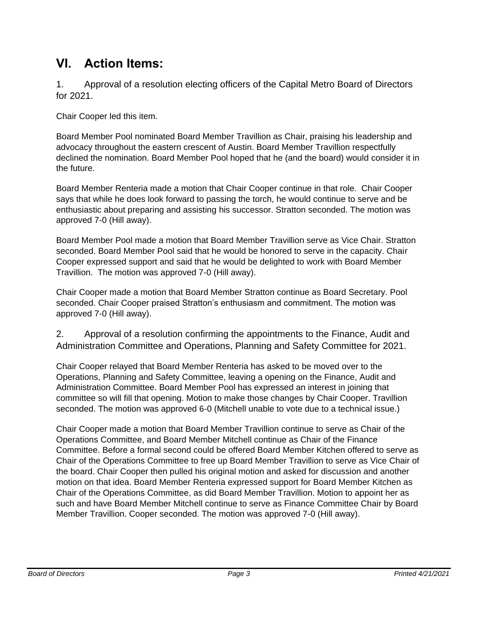## **VI. Action Items:**

1. Approval of a resolution electing officers of the Capital Metro Board of Directors for 2021.

Chair Cooper led this item.

Board Member Pool nominated Board Member Travillion as Chair, praising his leadership and advocacy throughout the eastern crescent of Austin. Board Member Travillion respectfully declined the nomination. Board Member Pool hoped that he (and the board) would consider it in the future.

Board Member Renteria made a motion that Chair Cooper continue in that role. Chair Cooper says that while he does look forward to passing the torch, he would continue to serve and be enthusiastic about preparing and assisting his successor. Stratton seconded. The motion was approved 7-0 (Hill away).

Board Member Pool made a motion that Board Member Travillion serve as Vice Chair. Stratton seconded. Board Member Pool said that he would be honored to serve in the capacity. Chair Cooper expressed support and said that he would be delighted to work with Board Member Travillion. The motion was approved 7-0 (Hill away).

Chair Cooper made a motion that Board Member Stratton continue as Board Secretary. Pool seconded. Chair Cooper praised Stratton's enthusiasm and commitment. The motion was approved 7-0 (Hill away).

2. Approval of a resolution confirming the appointments to the Finance, Audit and Administration Committee and Operations, Planning and Safety Committee for 2021.

Chair Cooper relayed that Board Member Renteria has asked to be moved over to the Operations, Planning and Safety Committee, leaving a opening on the Finance, Audit and Administration Committee. Board Member Pool has expressed an interest in joining that committee so will fill that opening. Motion to make those changes by Chair Cooper. Travillion seconded. The motion was approved 6-0 (Mitchell unable to vote due to a technical issue.)

Chair Cooper made a motion that Board Member Travillion continue to serve as Chair of the Operations Committee, and Board Member Mitchell continue as Chair of the Finance Committee. Before a formal second could be offered Board Member Kitchen offered to serve as Chair of the Operations Committee to free up Board Member Travillion to serve as Vice Chair of the board. Chair Cooper then pulled his original motion and asked for discussion and another motion on that idea. Board Member Renteria expressed support for Board Member Kitchen as Chair of the Operations Committee, as did Board Member Travillion. Motion to appoint her as such and have Board Member Mitchell continue to serve as Finance Committee Chair by Board Member Travillion. Cooper seconded. The motion was approved 7-0 (Hill away).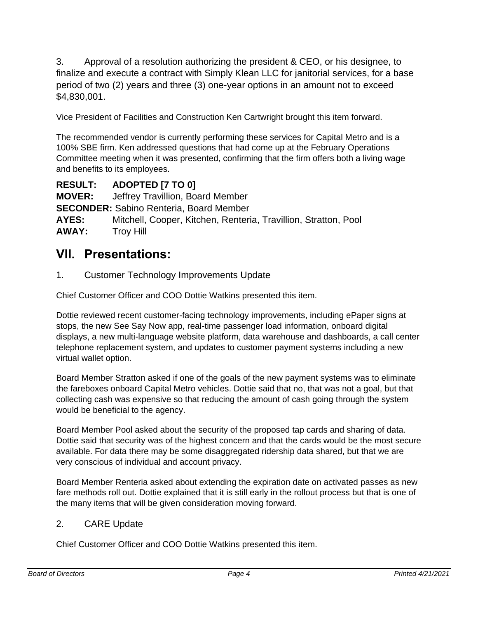3. Approval of a resolution authorizing the president & CEO, or his designee, to finalize and execute a contract with Simply Klean LLC for janitorial services, for a base period of two (2) years and three (3) one-year options in an amount not to exceed \$4,830,001.

Vice President of Facilities and Construction Ken Cartwright brought this item forward.

The recommended vendor is currently performing these services for Capital Metro and is a 100% SBE firm. Ken addressed questions that had come up at the February Operations Committee meeting when it was presented, confirming that the firm offers both a living wage and benefits to its employees.

**RESULT: ADOPTED [7 TO 0] MOVER:** Jeffrey Travillion, Board Member **SECONDER:** Sabino Renteria, Board Member **AYES:** Mitchell, Cooper, Kitchen, Renteria, Travillion, Stratton, Pool **AWAY:** Troy Hill

## **VII. Presentations:**

1. Customer Technology Improvements Update

Chief Customer Officer and COO Dottie Watkins presented this item.

Dottie reviewed recent customer-facing technology improvements, including ePaper signs at stops, the new See Say Now app, real-time passenger load information, onboard digital displays, a new multi-language website platform, data warehouse and dashboards, a call center telephone replacement system, and updates to customer payment systems including a new virtual wallet option.

Board Member Stratton asked if one of the goals of the new payment systems was to eliminate the fareboxes onboard Capital Metro vehicles. Dottie said that no, that was not a goal, but that collecting cash was expensive so that reducing the amount of cash going through the system would be beneficial to the agency.

Board Member Pool asked about the security of the proposed tap cards and sharing of data. Dottie said that security was of the highest concern and that the cards would be the most secure available. For data there may be some disaggregated ridership data shared, but that we are very conscious of individual and account privacy.

Board Member Renteria asked about extending the expiration date on activated passes as new fare methods roll out. Dottie explained that it is still early in the rollout process but that is one of the many items that will be given consideration moving forward.

### 2. CARE Update

Chief Customer Officer and COO Dottie Watkins presented this item.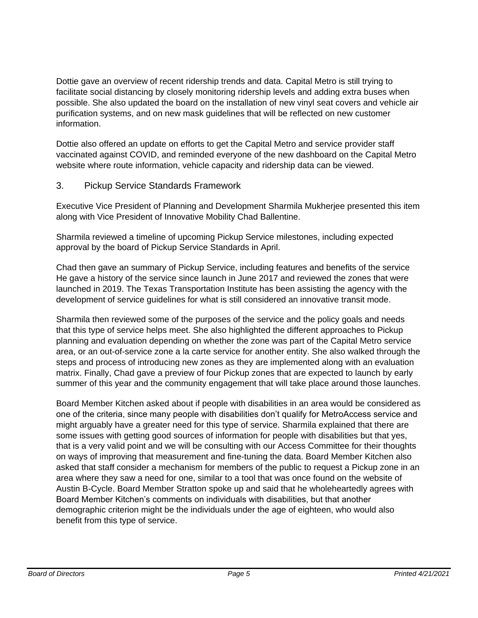Dottie gave an overview of recent ridership trends and data. Capital Metro is still trying to facilitate social distancing by closely monitoring ridership levels and adding extra buses when possible. She also updated the board on the installation of new vinyl seat covers and vehicle air purification systems, and on new mask guidelines that will be reflected on new customer information.

Dottie also offered an update on efforts to get the Capital Metro and service provider staff vaccinated against COVID, and reminded everyone of the new dashboard on the Capital Metro website where route information, vehicle capacity and ridership data can be viewed.

### 3. Pickup Service Standards Framework

Executive Vice President of Planning and Development Sharmila Mukherjee presented this item along with Vice President of Innovative Mobility Chad Ballentine.

Sharmila reviewed a timeline of upcoming Pickup Service milestones, including expected approval by the board of Pickup Service Standards in April.

Chad then gave an summary of Pickup Service, including features and benefits of the service He gave a history of the service since launch in June 2017 and reviewed the zones that were launched in 2019. The Texas Transportation Institute has been assisting the agency with the development of service guidelines for what is still considered an innovative transit mode.

Sharmila then reviewed some of the purposes of the service and the policy goals and needs that this type of service helps meet. She also highlighted the different approaches to Pickup planning and evaluation depending on whether the zone was part of the Capital Metro service area, or an out-of-service zone a la carte service for another entity. She also walked through the steps and process of introducing new zones as they are implemented along with an evaluation matrix. Finally, Chad gave a preview of four Pickup zones that are expected to launch by early summer of this year and the community engagement that will take place around those launches.

Board Member Kitchen asked about if people with disabilities in an area would be considered as one of the criteria, since many people with disabilities don't qualify for MetroAccess service and might arguably have a greater need for this type of service. Sharmila explained that there are some issues with getting good sources of information for people with disabilities but that yes, that is a very valid point and we will be consulting with our Access Committee for their thoughts on ways of improving that measurement and fine-tuning the data. Board Member Kitchen also asked that staff consider a mechanism for members of the public to request a Pickup zone in an area where they saw a need for one, similar to a tool that was once found on the website of Austin B-Cycle. Board Member Stratton spoke up and said that he wholeheartedly agrees with Board Member Kitchen's comments on individuals with disabilities, but that another demographic criterion might be the individuals under the age of eighteen, who would also benefit from this type of service.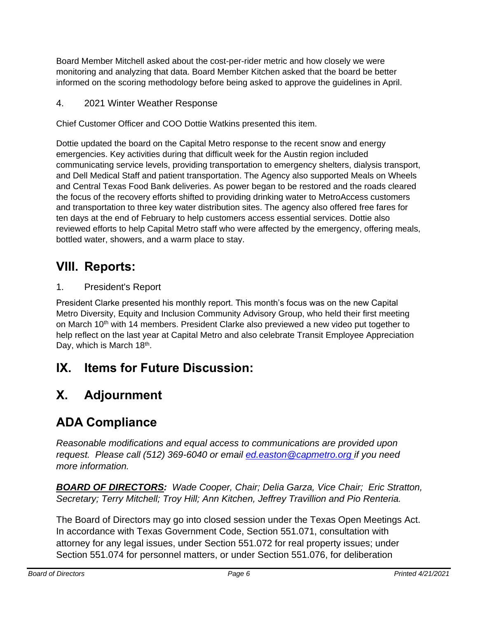Board Member Mitchell asked about the cost-per-rider metric and how closely we were monitoring and analyzing that data. Board Member Kitchen asked that the board be better informed on the scoring methodology before being asked to approve the guidelines in April.

4. 2021 Winter Weather Response

Chief Customer Officer and COO Dottie Watkins presented this item.

Dottie updated the board on the Capital Metro response to the recent snow and energy emergencies. Key activities during that difficult week for the Austin region included communicating service levels, providing transportation to emergency shelters, dialysis transport, and Dell Medical Staff and patient transportation. The Agency also supported Meals on Wheels and Central Texas Food Bank deliveries. As power began to be restored and the roads cleared the focus of the recovery efforts shifted to providing drinking water to MetroAccess customers and transportation to three key water distribution sites. The agency also offered free fares for ten days at the end of February to help customers access essential services. Dottie also reviewed efforts to help Capital Metro staff who were affected by the emergency, offering meals, bottled water, showers, and a warm place to stay.

# **VIII. Reports:**

### 1. President's Report

President Clarke presented his monthly report. This month's focus was on the new Capital Metro Diversity, Equity and Inclusion Community Advisory Group, who held their first meeting on March 10<sup>th</sup> with 14 members. President Clarke also previewed a new video put together to help reflect on the last year at Capital Metro and also celebrate Transit Employee Appreciation Day, which is March 18<sup>th</sup>.

# **IX. Items for Future Discussion:**

# **X. Adjournment**

# **ADA Compliance**

*Reasonable modifications and equal access to communications are provided upon request. Please call (512) 369-6040 or email ed.easton@capmetro.org if you need more information.*

*BOARD OF DIRECTORS: Wade Cooper, Chair; Delia Garza, Vice Chair; Eric Stratton, Secretary; Terry Mitchell; Troy Hill; Ann Kitchen, Jeffrey Travillion and Pio Renteria.* 

The Board of Directors may go into closed session under the Texas Open Meetings Act. In accordance with Texas Government Code, Section 551.071, consultation with attorney for any legal issues, under Section 551.072 for real property issues; under Section 551.074 for personnel matters, or under Section 551.076, for deliberation